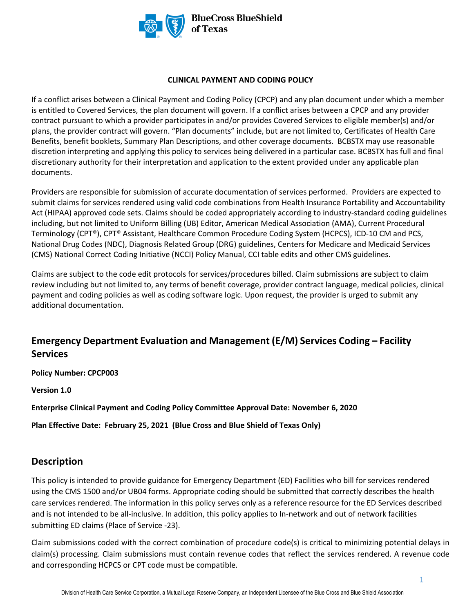

#### **CLINICAL PAYMENT AND CODING POLICY**

If a conflict arises between a Clinical Payment and Coding Policy (CPCP) and any plan document under which a member is entitled to Covered Services, the plan document will govern. If a conflict arises between a CPCP and any provider contract pursuant to which a provider participates in and/or provides Covered Services to eligible member(s) and/or plans, the provider contract will govern. "Plan documents" include, but are not limited to, Certificates of Health Care Benefits, benefit booklets, Summary Plan Descriptions, and other coverage documents. BCBSTX may use reasonable discretion interpreting and applying this policy to services being delivered in a particular case. BCBSTX has full and final discretionary authority for their interpretation and application to the extent provided under any applicable plan documents.

Providers are responsible for submission of accurate documentation of services performed. Providers are expected to submit claims for services rendered using valid code combinations from Health Insurance Portability and Accountability Act (HIPAA) approved code sets. Claims should be coded appropriately according to industry-standard coding guidelines including, but not limited to Uniform Billing (UB) Editor, American Medical Association (AMA), Current Procedural Terminology (CPT®), CPT® Assistant, Healthcare Common Procedure Coding System (HCPCS), ICD-10 CM and PCS, National Drug Codes (NDC), Diagnosis Related Group (DRG) guidelines, Centers for Medicare and Medicaid Services (CMS) National Correct Coding Initiative (NCCI) Policy Manual, CCI table edits and other CMS guidelines.

Claims are subject to the code edit protocols for services/procedures billed. Claim submissions are subject to claim review including but not limited to, any terms of benefit coverage, provider contract language, medical policies, clinical payment and coding policies as well as coding software logic. Upon request, the provider is urged to submit any additional documentation.

# **Emergency Department Evaluation and Management (E/M) Services Coding – Facility Services**

**Policy Number: CPCP003** 

**Version 1.0** 

**Enterprise Clinical Payment and Coding Policy Committee Approval Date: November 6, 2020** 

**Plan Effective Date: February 25, 2021 (Blue Cross and Blue Shield of Texas Only)**

### **Description**

This policy is intended to provide guidance for Emergency Department (ED) Facilities who bill for services rendered using the CMS 1500 and/or UB04 forms. Appropriate coding should be submitted that correctly describes the health care services rendered. The information in this policy serves only as a reference resource for the ED Services described and is not intended to be all-inclusive. In addition, this policy applies to In-network and out of network facilities submitting ED claims (Place of Service -23).

Claim submissions coded with the correct combination of procedure code(s) is critical to minimizing potential delays in claim(s) processing. Claim submissions must contain revenue codes that reflect the services rendered. A revenue code and corresponding HCPCS or CPT code must be compatible.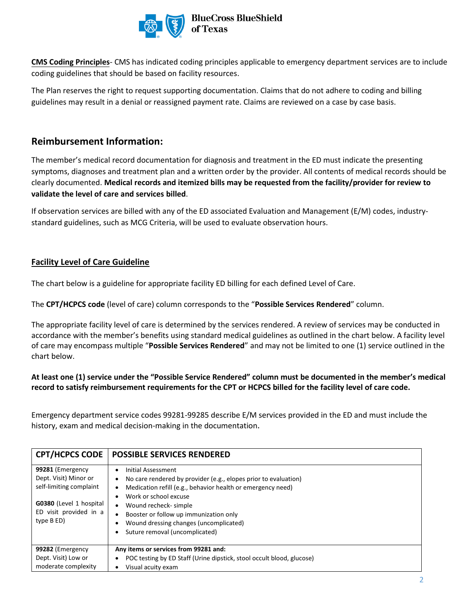

**CMS Coding Principles**- CMS has indicated coding principles applicable to emergency department services are to include coding guidelines that should be based on facility resources.

The Plan reserves the right to request supporting documentation. Claims that do not adhere to coding and billing guidelines may result in a denial or reassigned payment rate. Claims are reviewed on a case by case basis.

## **Reimbursement Information:**

The member's medical record documentation for diagnosis and treatment in the ED must indicate the presenting symptoms, diagnoses and treatment plan and a written order by the provider. All contents of medical records should be clearly documented. **Medical records and itemized bills may be requested from the facility/provider for review to validate the level of care and services billed**.

If observation services are billed with any of the ED associated Evaluation and Management (E/M) codes, industrystandard guidelines, such as MCG Criteria, will be used to evaluate observation hours.

#### **Facility Level of Care Guideline**

The chart below is a guideline for appropriate facility ED billing for each defined Level of Care.

The **CPT/HCPCS code** (level of care) column corresponds to the "**Possible Services Rendered**" column.

The appropriate facility level of care is determined by the services rendered. A review of services may be conducted in accordance with the member's benefits using standard medical guidelines as outlined in the chart below. A facility level of care may encompass multiple "**Possible Services Rendered**" and may not be limited to one (1) service outlined in the chart below.

#### **At least one (1) service under the "Possible Service Rendered" column must be documented in the member's medical record to satisfy reimbursement requirements for the CPT or HCPCS billed for the facility level of care code.**

Emergency department service codes 99281-99285 describe E/M services provided in the ED and must include the history, exam and medical decision-making in the documentation.

| <b>CPT/HCPCS CODE</b>                                                                                                                   | <b>POSSIBLE SERVICES RENDERED</b>                                                                                                                                                                                                                                                               |
|-----------------------------------------------------------------------------------------------------------------------------------------|-------------------------------------------------------------------------------------------------------------------------------------------------------------------------------------------------------------------------------------------------------------------------------------------------|
| 99281 (Emergency<br>Dept. Visit) Minor or<br>self-limiting complaint<br>G0380 (Level 1 hospital<br>ED visit provided in a<br>type B ED) | Initial Assessment<br>No care rendered by provider (e.g., elopes prior to evaluation)<br>Medication refill (e.g., behavior health or emergency need)<br>Work or school excuse<br>Wound recheck- simple<br>٠<br>Booster or follow up immunization only<br>Wound dressing changes (uncomplicated) |
|                                                                                                                                         | Suture removal (uncomplicated)                                                                                                                                                                                                                                                                  |
| 99282 (Emergency                                                                                                                        | Any items or services from 99281 and:                                                                                                                                                                                                                                                           |
| Dept. Visit) Low or                                                                                                                     | POC testing by ED Staff (Urine dipstick, stool occult blood, glucose)                                                                                                                                                                                                                           |
| moderate complexity                                                                                                                     | Visual acuity exam<br>٠                                                                                                                                                                                                                                                                         |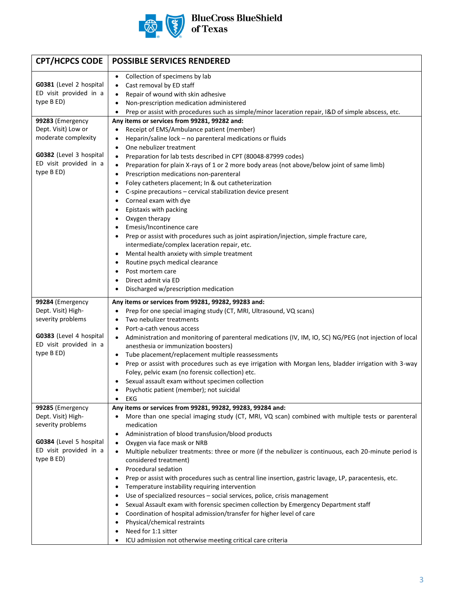

| <b>CPT/HCPCS CODE</b>                             | <b>POSSIBLE SERVICES RENDERED</b>                                                                                    |
|---------------------------------------------------|----------------------------------------------------------------------------------------------------------------------|
|                                                   | Collection of specimens by lab<br>$\bullet$                                                                          |
| G0381 (Level 2 hospital                           | Cast removal by ED staff<br>٠                                                                                        |
| ED visit provided in a                            | Repair of wound with skin adhesive<br>$\bullet$                                                                      |
| type B ED)                                        | Non-prescription medication administered<br>$\bullet$                                                                |
|                                                   | Prep or assist with procedures such as simple/minor laceration repair, I&D of simple abscess, etc.<br>$\bullet$      |
| 99283 (Emergency                                  | Any items or services from 99281, 99282 and:                                                                         |
| Dept. Visit) Low or                               | Receipt of EMS/Ambulance patient (member)<br>$\bullet$                                                               |
| moderate complexity                               | Heparin/saline lock - no parenteral medications or fluids<br>٠                                                       |
|                                                   | One nebulizer treatment<br>$\bullet$                                                                                 |
| G0382 (Level 3 hospital                           | Preparation for lab tests described in CPT (80048-87999 codes)<br>$\bullet$                                          |
| ED visit provided in a                            | Preparation for plain X-rays of 1 or 2 more body areas (not above/below joint of same limb)<br>$\bullet$             |
| type B ED)                                        | Prescription medications non-parenteral<br>$\bullet$                                                                 |
|                                                   | Foley catheters placement; In & out catheterization<br>٠                                                             |
|                                                   | C-spine precautions - cervical stabilization device present                                                          |
|                                                   | Corneal exam with dye                                                                                                |
|                                                   | Epistaxis with packing                                                                                               |
|                                                   | Oxygen therapy                                                                                                       |
|                                                   | Emesis/Incontinence care<br>$\bullet$                                                                                |
|                                                   | Prep or assist with procedures such as joint aspiration/injection, simple fracture care,<br>$\bullet$                |
|                                                   | intermediate/complex laceration repair, etc.                                                                         |
|                                                   | Mental health anxiety with simple treatment<br>٠                                                                     |
|                                                   | Routine psych medical clearance<br>$\bullet$                                                                         |
|                                                   | Post mortem care<br>$\bullet$                                                                                        |
|                                                   | Direct admit via ED                                                                                                  |
|                                                   | Discharged w/prescription medication                                                                                 |
| 99284 (Emergency                                  | Any items or services from 99281, 99282, 99283 and:                                                                  |
| Dept. Visit) High-                                | Prep for one special imaging study (CT, MRI, Ultrasound, VQ scans)<br>$\bullet$                                      |
| severity problems                                 | Two nebulizer treatments<br>$\bullet$                                                                                |
|                                                   | Port-a-cath venous access<br>$\bullet$                                                                               |
| G0383 (Level 4 hospital<br>ED visit provided in a | Administration and monitoring of parenteral medications (IV, IM, IO, SC) NG/PEG (not injection of local<br>$\bullet$ |
| type B ED)                                        | anesthesia or immunization boosters)                                                                                 |
|                                                   | Tube placement/replacement multiple reassessments<br>$\bullet$                                                       |
|                                                   | Prep or assist with procedures such as eye irrigation with Morgan lens, bladder irrigation with 3-way<br>٠           |
|                                                   | Foley, pelvic exam (no forensic collection) etc.                                                                     |
|                                                   | Sexual assault exam without specimen collection                                                                      |
|                                                   | Psychotic patient (member); not suicidal                                                                             |
| 99285 (Emergency                                  | EKG<br>$\bullet$<br>Any items or services from 99281, 99282, 99283, 99284 and:                                       |
| Dept. Visit) High-                                | More than one special imaging study (CT, MRI, VQ scan) combined with multiple tests or parenteral<br>$\bullet$       |
| severity problems                                 | medication                                                                                                           |
|                                                   | Administration of blood transfusion/blood products<br>$\bullet$                                                      |
| G0384 (Level 5 hospital                           | Oxygen via face mask or NRB<br>$\bullet$                                                                             |
| ED visit provided in a                            | Multiple nebulizer treatments: three or more (if the nebulizer is continuous, each 20-minute period is<br>$\bullet$  |
| type B ED)                                        | considered treatment)                                                                                                |
|                                                   | Procedural sedation<br>٠                                                                                             |
|                                                   | Prep or assist with procedures such as central line insertion, gastric lavage, LP, paracentesis, etc.<br>٠           |
|                                                   | Temperature instability requiring intervention<br>٠                                                                  |
|                                                   | Use of specialized resources - social services, police, crisis management<br>٠                                       |
|                                                   | Sexual Assault exam with forensic specimen collection by Emergency Department staff<br>$\bullet$                     |
|                                                   | Coordination of hospital admission/transfer for higher level of care                                                 |
|                                                   | Physical/chemical restraints<br>$\bullet$                                                                            |
|                                                   | Need for 1:1 sitter<br>٠                                                                                             |
|                                                   | ICU admission not otherwise meeting critical care criteria<br>٠                                                      |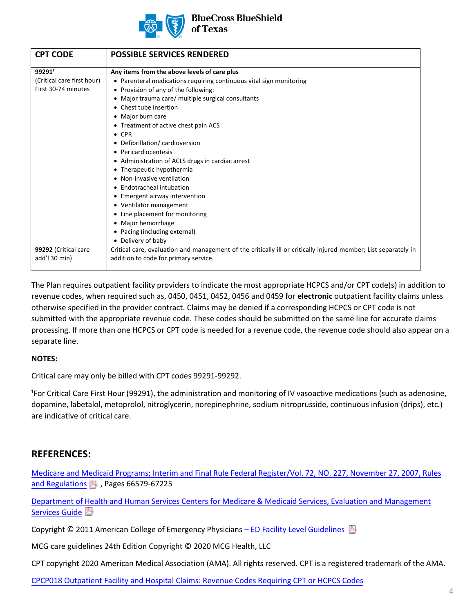

**BlueCross BlueShield** of Texas

| <b>CPT CODE</b>                                             | <b>POSSIBLE SERVICES RENDERED</b>                                                                                                                                                                                                                                                                                                                                                                                                                                                                                                                                                                                                                                                                            |
|-------------------------------------------------------------|--------------------------------------------------------------------------------------------------------------------------------------------------------------------------------------------------------------------------------------------------------------------------------------------------------------------------------------------------------------------------------------------------------------------------------------------------------------------------------------------------------------------------------------------------------------------------------------------------------------------------------------------------------------------------------------------------------------|
| 992911<br>(Critical care first hour)<br>First 30-74 minutes | Any items from the above levels of care plus<br>• Parenteral medications requiring continuous vital sign monitoring<br>• Provision of any of the following:<br>• Major trauma care/ multiple surgical consultants<br>• Chest tube insertion<br>• Major burn care<br>• Treatment of active chest pain ACS<br>$\bullet$ CPR<br>• Defibrillation/cardioversion<br>• Pericardiocentesis<br>• Administration of ACLS drugs in cardiac arrest<br>• Therapeutic hypothermia<br>• Non-invasive ventilation<br>• Endotracheal intubation<br>• Emergent airway intervention<br>• Ventilator management<br>• Line placement for monitoring<br>• Major hemorrhage<br>• Pacing (including external)<br>• Delivery of baby |
| 99292 (Critical care<br>add'l 30 min)                       | Critical care, evaluation and management of the critically ill or critically injured member; List separately in<br>addition to code for primary service.                                                                                                                                                                                                                                                                                                                                                                                                                                                                                                                                                     |

The Plan requires outpatient facility providers to indicate the most appropriate HCPCS and/or CPT code(s) in addition to revenue codes, when required such as, 0450, 0451, 0452, 0456 and 0459 for **electronic** outpatient facility claims unless otherwise specified in the provider contract. Claims may be denied if a corresponding HCPCS or CPT code is not submitted with the appropriate revenue code. These codes should be submitted on the same line for accurate claims processing. If more than one HCPCS or CPT code is needed for a revenue code, the revenue code should also appear on a separate line.

#### **NOTES:**

Critical care may only be billed with CPT codes 99291-99292.

<sup>1</sup>For Critical Care First Hour (99291), the administration and monitoring of IV vasoactive medications (such as adenosine, dopamine, labetalol, metoprolol, nitroglycerin, norepinephrine, sodium nitroprusside, continuous infusion (drips), etc.) are indicative of critical care.

### **REFERENCES:**

[Medicare and Medicaid Programs; Interim and Final Rule Federal Register/Vol. 72, NO. 227, November 27, 2007, Rules](https://www.govinfo.gov/content/pkg/FR-2007-11-27/html/07-5507.htm) [and Regulations](https://www.govinfo.gov/content/pkg/FR-2007-11-27/html/07-5507.htm)  $\blacksquare$ , Pages 66579-67225

[Department of Health and Human Services Centers for Medicare & Medicaid Services, Evaluation and Management](https://www.cms.gov/Outreach-and-Education/Medicare-Learning-Network-MLN/MLNProducts/Downloads/eval-mgmt-serv-guide-ICN006764.pdf) [Services Guide](https://www.cms.gov/Outreach-and-Education/Medicare-Learning-Network-MLN/MLNProducts/Downloads/eval-mgmt-serv-guide-ICN006764.pdf)

Copyright © 2011 American College of Emergency Physicians – [ED Facility Level Guidelines](https://www.acep.org/administration/reimbursement/ed-facility-level-coding-guidelines/)

MCG care guidelines 24th Edition Copyright © 2020 MCG Health, LLC

CPT copyright 2020 American Medical Association (AMA). All rights reserved. CPT is a registered trademark of the AMA.

[CPCP018 Outpatient Facility and Hospital Claims: Revenue Codes Requiring CPT or HCPCS Codes](https://www.bcbstx.com/provider/standards/cpcp.html)